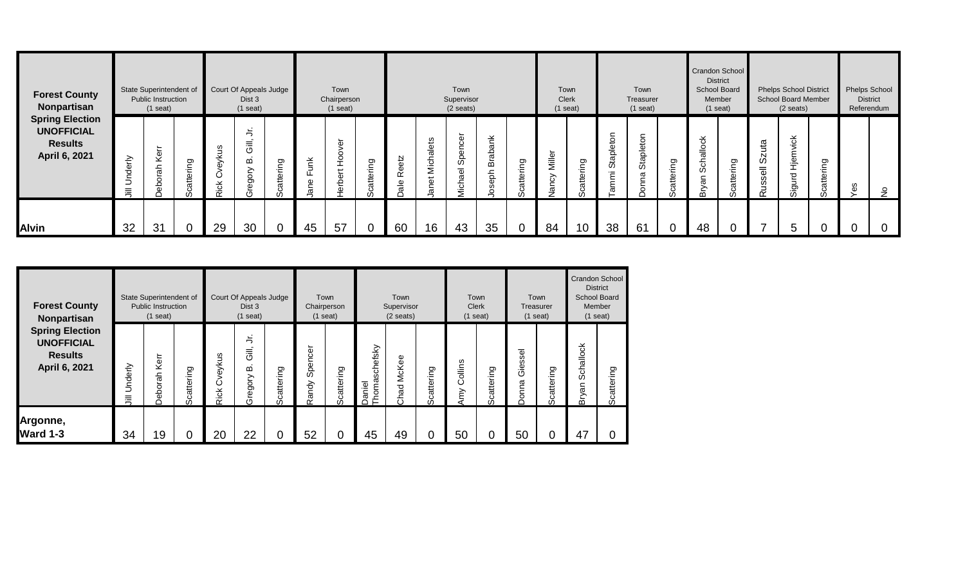| <b>Forest County</b><br>Nonpartisan                                            |                     | State Superintendent of<br>Public Instruction<br>$(1$ seat) |               |                       | Court Of Appeals Judge<br>Dist 3<br>$(1$ seat)                            |                                       |                     | Town<br>Chairperson<br>$(1$ seat) |                                   |                        |                                 | Town<br>Supervisor<br>$(2 \text{ seats})$            |                                   |                             |                                          | Town<br><b>Clerk</b><br>$(1$ seat) |                     | Town<br>Treasurer<br>$(1$ seat) |                            | <b>School Board</b>      | Crandon School<br><b>District</b><br>Member<br>$(1$ seat) |                            | <b>Phelps School District</b><br><b>School Board Member</b><br>$(2 \text{ seats})$ |              | <b>Phelps School</b><br><b>District</b><br>Referendum |                          |
|--------------------------------------------------------------------------------|---------------------|-------------------------------------------------------------|---------------|-----------------------|---------------------------------------------------------------------------|---------------------------------------|---------------------|-----------------------------------|-----------------------------------|------------------------|---------------------------------|------------------------------------------------------|-----------------------------------|-----------------------------|------------------------------------------|------------------------------------|---------------------|---------------------------------|----------------------------|--------------------------|-----------------------------------------------------------|----------------------------|------------------------------------------------------------------------------------|--------------|-------------------------------------------------------|--------------------------|
| <b>Spring Election</b><br><b>UNOFFICIAL</b><br><b>Results</b><br>April 6, 2021 | erly<br>ರ<br>Ξ<br>言 | ະ<br>٧e<br>등<br>d١                                          | δu<br>._<br>Φ | ဖ<br>×<br>⋋<br>Φ<br>농 | $\overline{\phantom{0}}$<br>⊃<br>- -<br>$\overline{5}$<br>m<br>gory<br>d) | ing<br>$\mathbf{e}$<br>$\overline{m}$ | unk<br>正<br>eq<br>σ | n,<br>오<br>ىب<br>ਨੋ<br>욘<br>Φ     | ring<br>$\frac{1}{2}$<br>$\sigma$ | Reetz<br>$\frac{e}{a}$ | alets<br><b>Mich</b><br>سه<br>Φ | ပ္ပ<br>န<br>တိ<br>$\overline{\Phi}$<br>ក<br>ភូ<br>.- | ≚<br>┶<br>σ<br>န္<br>느<br>മ<br>ā, | ring<br>$\mathfrak{g}$<br>ត | Miller<br>$\rightarrow$<br>$\Omega$<br>σ | ing<br>₽<br>$\pi$                  | Stapleton<br>Έ<br>ξ | Stapletor<br>σ                  | ring<br>$\frac{1}{2}$<br>ത | allock<br>5S<br>$\sigma$ | ing<br>$\frac{\omega}{\omega}$                            | та<br>ഗ<br>$=$<br>$\omega$ | ⊻<br>Hjemvic<br>짇<br>igu                                                           | ring<br>atte | ဖ<br>Öΰ                                               | $\circ$<br>$\rightarrow$ |
| <b>Alvin</b>                                                                   | 32                  | 31                                                          | 0             | 29                    | 30                                                                        |                                       | 45                  | 57                                |                                   | 60                     | 16                              | 43                                                   | 35                                | $\overline{0}$              | 84                                       | 10                                 | 38                  | 61                              | 0                          | 48                       | 0                                                         |                            | 5                                                                                  |              |                                                       |                          |

| <b>Forest County</b><br>Nonpartisan                                            |              | State Superintendent of<br><b>Public Instruction</b><br>$(1$ seat) |                        |                     | Court Of Appeals Judge<br>Dist 3<br>$(1$ seat)       |                | Town<br>Chairperson<br>$(1$ seat) |                |                                    | Town<br>Supervisor<br>$(2 \text{ seats})$ |            |                | Town<br><b>Clerk</b><br>$(1$ seat) | Town             | Treasurer<br>$(1$ seat) | <b>District</b><br><b>School Board</b><br>Member<br>$(1$ seat) | Crandon School |
|--------------------------------------------------------------------------------|--------------|--------------------------------------------------------------------|------------------------|---------------------|------------------------------------------------------|----------------|-----------------------------------|----------------|------------------------------------|-------------------------------------------|------------|----------------|------------------------------------|------------------|-------------------------|----------------------------------------------------------------|----------------|
| <b>Spring Election</b><br><b>UNOFFICIAL</b><br><b>Results</b><br>April 6, 2021 | Underly<br>亖 | Kerr<br>등<br>$\circ$<br>용<br>≏                                     | ring<br>atte<br>ပ<br>Ō | veykus<br>ن<br>Rick | ち<br>$\overline{\overline{5}}$<br>٠.<br>മ<br>Gregory | cattering<br>Ō | Spencer<br>Randy                  | cattering<br>Ō | ischefsky<br>σ<br>Daniel<br>Ë<br>Ě | McKee<br>Chad                             | Scattering | Collins<br>Amy | cattering<br>Ō                     | Giessel<br>Donna | ring<br>atte<br>Ω<br>ഗ  | challock<br>Ō<br>Ψ<br>മ                                        | Scattering     |
| Argonne,<br><b>Ward 1-3</b>                                                    | 34           | 19                                                                 |                        | 20                  | 22                                                   | 0              | 52                                | $\Omega$       | 45                                 | 49                                        | 0          | 50             | 0                                  | 50               | 0                       | 47                                                             | 0              |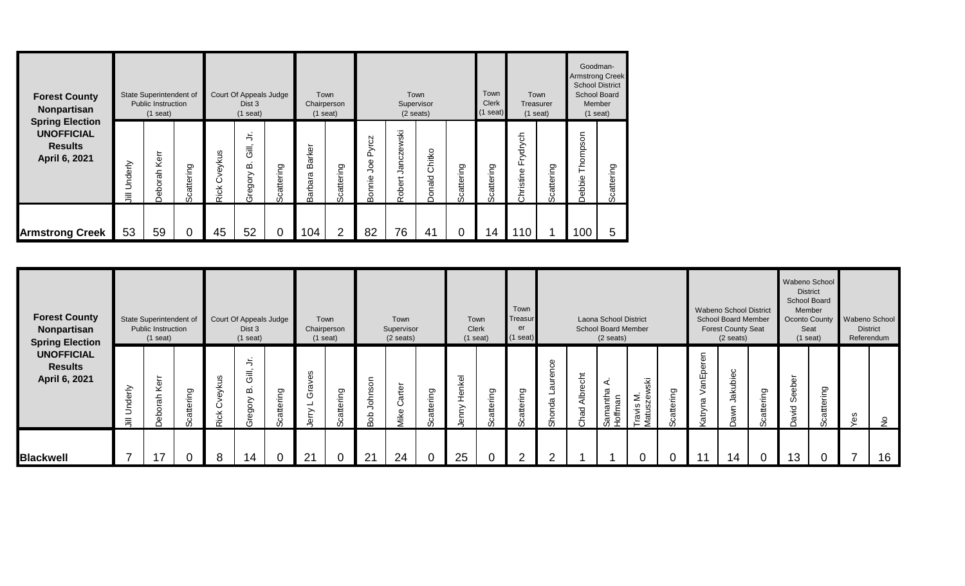| <b>Forest County</b><br>Nonpartisan                                            |              | State Superintendent of<br><b>Public Instruction</b><br>$(1$ seat) |                    |                            | Court Of Appeals Judge<br>Dist 3<br>$(1$ seat) |            |                       | Town<br>Chairperson<br>$(1$ seat) |                                    |                                                   | Town<br>Supervisor<br>$(2 \text{ seats})$ |                | Town<br><b>Clerk</b><br>$(1$ seat) |                       | Town<br>Treasurer<br>$(1$ seat) | Goodman-<br><b>Armstrong Creek</b><br><b>School District</b><br>Member | <b>School Board</b><br>$(1$ seat) |
|--------------------------------------------------------------------------------|--------------|--------------------------------------------------------------------|--------------------|----------------------------|------------------------------------------------|------------|-----------------------|-----------------------------------|------------------------------------|---------------------------------------------------|-------------------------------------------|----------------|------------------------------------|-----------------------|---------------------------------|------------------------------------------------------------------------|-----------------------------------|
| <b>Spring Election</b><br><b>UNOFFICIAL</b><br><b>Results</b><br>April 6, 2021 | Underly<br>≣ | ēΓ<br>⊻<br>ᅩ<br>ora<br>ء<br>Φ<br>◠                                 | attering<br>ت<br>w | veykus<br>ပ<br><b>Rick</b> | ≒<br>Gill,<br>മ<br>Gregory                     | Scattering | Barker<br>arbara<br>m | Scattering                        | yrcz<br>≏<br>Φ<br>Ō<br>っ<br>Bonnie | χş<br>≷<br>Ñ<br>ā<br>∽<br>t<br>$\sigma$<br>용<br>œ | Chitko<br>ald<br>Õ<br>Ö                   | Scattering     | Scattering                         | Frydrych<br>Christine | cattering<br>$\omega$           | son<br>Ω<br>hom<br>ebbie<br>≏                                          | cattering<br>w                    |
| <b>Armstrong Creek</b>                                                         | 53           | 59                                                                 | 0                  | 45                         | 52                                             | 0          | 104                   | ⌒                                 | 82                                 | 76                                                | 41                                        | $\overline{0}$ | 14                                 | 110                   |                                 | 00                                                                     | 5                                 |

| <b>Forest County</b><br>Nonpartisan<br><b>Spring Election</b> |                | State Superintendent of<br>Public Instruction<br>$(1$ seat) |                           |                            | Court Of Appeals Judge<br>Dist 3<br>$(1$ seat)              |                         | Town           | Chairperson<br>$(1$ seat) |                         | Town<br>Supervisor<br>$(2 \text{ seats})$ |                           |                                   | Town<br><b>Clerk</b><br>$(1$ seat) | Town<br>Treasur<br>er<br>$(1$ seat) |                                        |                                                          | Laona School District<br>School Board Member<br>$(2 \text{ seats})$ |                                           |             |                        | <b>Wabeno School District</b><br>School Board Member<br><b>Forest County Seat</b><br>$(2 \text{ seats})$ |                               | Wabeno School<br><b>District</b><br>School Board<br>Member<br><b>Oconto County</b><br>Seat<br>$(1$ seat) |                     | Wabeno School  | <b>District</b><br>Referendum |
|---------------------------------------------------------------|----------------|-------------------------------------------------------------|---------------------------|----------------------------|-------------------------------------------------------------|-------------------------|----------------|---------------------------|-------------------------|-------------------------------------------|---------------------------|-----------------------------------|------------------------------------|-------------------------------------|----------------------------------------|----------------------------------------------------------|---------------------------------------------------------------------|-------------------------------------------|-------------|------------------------|----------------------------------------------------------------------------------------------------------|-------------------------------|----------------------------------------------------------------------------------------------------------|---------------------|----------------|-------------------------------|
| <b>UNOFFICIAL</b><br><b>Results</b><br>April 6, 2021          | erly<br>ਨ<br>差 | 는<br>ζē<br>등<br>১<br>옮                                      | ing<br>atte<br>$\epsilon$ | ykus<br>്ധ<br>$\circ$<br>交 | $\frac{1}{2}$<br><b>Gill</b><br>$\mathbf{\Omega}$<br>regory | attering<br>ပ<br>$\sim$ | es<br>Grã<br>5 | ring<br>atte              | δ<br>둥<br>∽<br>$\Omega$ | Carter<br><b>like</b>                     | attering<br>ပ<br>$\omega$ | ΙΘ<br>en<br>⋋<br>$\epsilon$<br>٥Ŋ | attering<br>$\circ$<br>٬           | attering<br>$\circ$                 | aurence<br>onda<br>$\overline{a}$<br>ᅔ | 통<br><b>Albre</b><br>$\overline{\mathbf{o}}$<br>$\sigma$ | ∢<br>mantha<br>೯<br>专<br>σ<br>$\overline{\phantom{0}}$              | ΜŚ<br>Σ<br>ЯŽ<br>óξ<br>Ë<br>ო<br>$\omega$ | ing<br>atte | eren<br>anEp<br>atryna | ပ<br>akubie<br>⇁                                                                                         | ing<br>atte<br>$\mathfrak{c}$ | . በነ<br>န္ၿ<br>Φ<br>Ō<br>avid                                                                            | attering<br>$\circ$ | ဖာ<br>$\omega$ | $\frac{9}{5}$                 |
| <b>Blackwell</b>                                              |                | 17                                                          |                           | 8                          | 14                                                          | $\overline{0}$          | 21             | 0                         | 21                      | 24                                        | 0                         | 25                                |                                    | ⌒                                   | ົ                                      |                                                          |                                                                     |                                           |             |                        | 14                                                                                                       | $\overline{0}$                | 13                                                                                                       |                     |                | 16                            |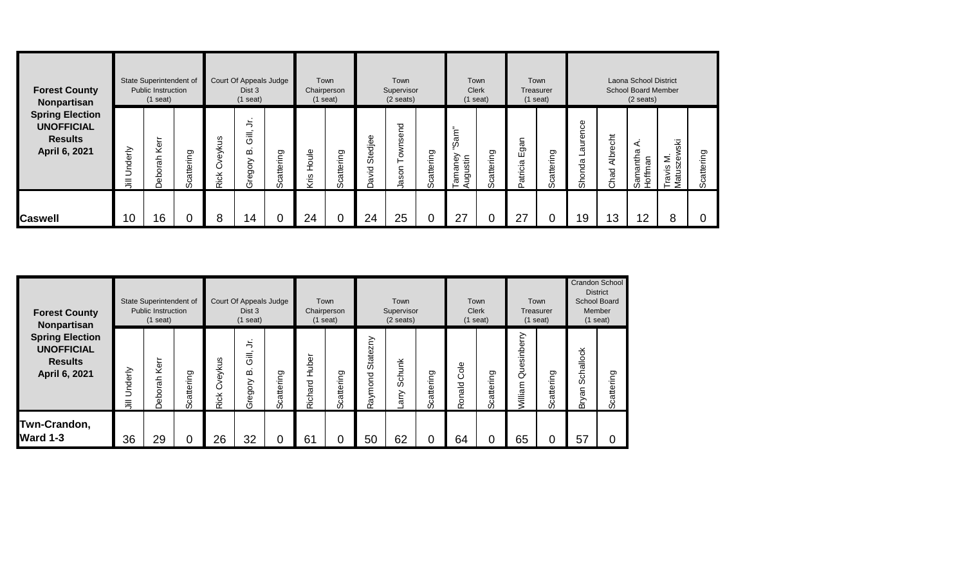| <b>Forest County</b><br>Nonpartisan                                            |                  | State Superintendent of<br><b>Public Instruction</b><br>$(1$ seat) |                    |                     | Court Of Appeals Judge<br>Dist 3<br>$(1$ seat) |                    |                   | Town<br>Chairperson<br>$(1$ seat) |                      | Town<br>Supervisor<br>$(2 \text{ seats})$           |            | <b>Clerk</b>                                 | Town<br>$(1$ seat) |                          | Town<br>Treasurer<br>$(1$ seat) |                                    |                  | Laona School District<br><b>School Board Member</b><br>$(2 \text{ seats})$ |                                                           |               |
|--------------------------------------------------------------------------------|------------------|--------------------------------------------------------------------|--------------------|---------------------|------------------------------------------------|--------------------|-------------------|-----------------------------------|----------------------|-----------------------------------------------------|------------|----------------------------------------------|--------------------|--------------------------|---------------------------------|------------------------------------|------------------|----------------------------------------------------------------------------|-----------------------------------------------------------|---------------|
| <b>Spring Election</b><br><b>UNOFFICIAL</b><br><b>Results</b><br>April 6, 2021 | nderly<br>≡<br>– | Kerr<br>n<br>Tah<br>$\circ$<br>웁<br>≏                              | attering<br>ပ<br>Ō | veykus<br>Ő<br>Rick | $\frac{1}{2}$<br>高<br>≃<br>gory<br>ِ<br>قا     | attering<br>ပ<br>Ō | Houle<br>ي.<br>تا | Scattering                        | Stedjee<br>pive<br>◠ | $\overline{\mathbf{C}}$<br>ē<br>w<br>ÖWNC.<br>Jason | Scattering | $\equiv$<br>πg<br>ω<br>stin<br>$\sigma$<br>ä | Scattering         | gan<br>ш<br>atricia<br>۵ | attering<br>ပ<br>ഗ              | urence<br>$\bar{\sigma}$<br>Shonda | Albrecht<br>Chad | ⋖<br>Samantha<br>Hoffman                                                   | ewski<br>$\cdot$<br>Σ<br>$\mathbf N$<br>ś<br>Matus:<br>Ĕã | ත<br>$\omega$ |
| <b>Caswell</b>                                                                 | 10               | 16                                                                 |                    | 8                   | 14                                             |                    | 24                | 0                                 | 24                   | 25                                                  | 0          | 27                                           |                    | 07                       |                                 | 19                                 | 13               | 12                                                                         | 8                                                         |               |

| <b>Forest County</b><br>Nonpartisan                                            |              | State Superintendent of<br><b>Public Instruction</b><br>$(1$ seat) |            |                            | Court Of Appeals Judge<br>Dist 3<br>$(1$ seat)          |                |                  | Town<br>Chairperson<br>$(1$ seat) |                                  | Town<br>Supervisor<br>$(2 \text{ seats})$ |                | <b>Clerk</b>        | Town<br>$(1$ seat)      |                              | Town<br>Treasurer<br>$(1$ seat) | Member                    | <b>Crandon School</b><br><b>District</b><br>School Board<br>$(1$ seat) |
|--------------------------------------------------------------------------------|--------------|--------------------------------------------------------------------|------------|----------------------------|---------------------------------------------------------|----------------|------------------|-----------------------------------|----------------------------------|-------------------------------------------|----------------|---------------------|-------------------------|------------------------------|---------------------------------|---------------------------|------------------------------------------------------------------------|
| <b>Spring Election</b><br><b>UNOFFICIAL</b><br><b>Results</b><br>April 6, 2021 | Underly<br>巪 | Kerr<br>Ψę<br>$\circ$<br>န္ၿ<br>≏                                  | Scattering | veykus<br>ن<br><b>Rick</b> | ち<br>$\overline{\phantom{a}}$<br>ι⊪<br>Б<br>regory<br>৩ | cattering<br>ഗ | Huber<br>Richard | ත<br>Ē<br>atter<br>ق              | zny<br>State;<br>pao<br>mve<br>œ | Schunk<br>arry                            | Scattering     | Cole<br>bleno:<br>œ | တ<br>attering<br>ت<br>ഗ | inberry<br>ഗ<br>Ë<br>Villiam | ත<br>ēί<br>ŧ<br>ပ္ကိ            | challock<br>Ō<br>۹Ë<br>ΒŊ | Scattering                                                             |
| Twn-Crandon,<br><b>Ward 1-3</b>                                                | 36           | 29                                                                 | 0          | 26                         | 32                                                      | U              | 61               |                                   | 50                               | 62                                        | $\overline{0}$ | 64                  |                         | 65                           | 0                               | 57                        | 0                                                                      |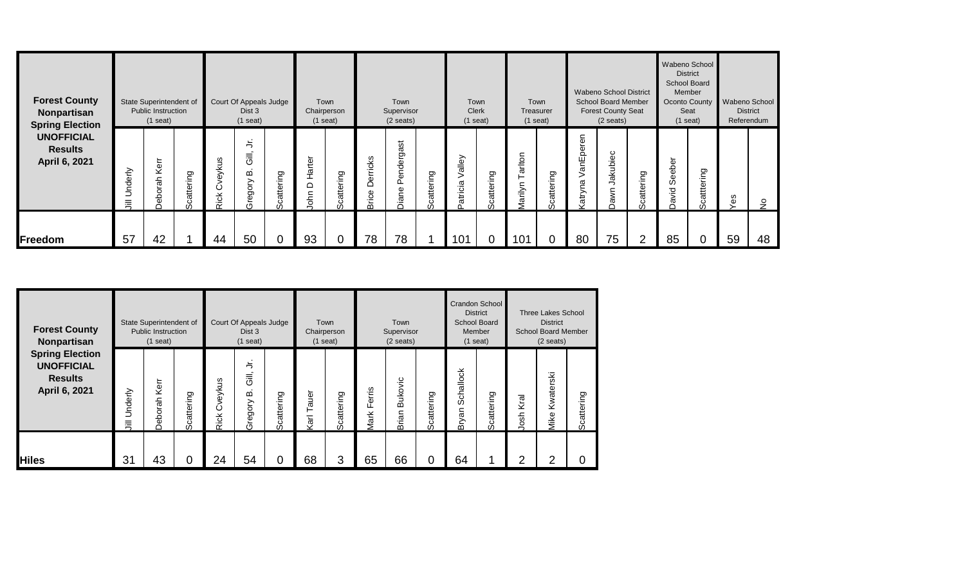| <b>Forest County</b><br>Nonpartisan<br><b>Spring Election</b> |             | State Superintendent of<br><b>Public Instruction</b><br>$(1$ seat) |                   |                               | Court Of Appeals Judge<br>Dist 3<br>$(1$ seat)     |                      |                    | Town<br>Chairperson<br>$(1$ seat) |                         | Town<br>Supervisor<br>$(2 \text{ seats})$ |                    |                  | Town<br><b>Clerk</b><br>$(1$ seat) |                      | Town<br>Treasurer<br>$(1$ seat) |                                      | <b>Wabeno School District</b><br><b>School Board Member</b><br><b>Forest County Seat</b><br>$(2 \text{ seats})$ |                                                              |                | Wabeno School<br><b>District</b><br>School Board<br>Member<br>Oconto County<br>Seat<br>$(1$ seat) |        | Wabeno School<br><b>District</b><br>Referendum |
|---------------------------------------------------------------|-------------|--------------------------------------------------------------------|-------------------|-------------------------------|----------------------------------------------------|----------------------|--------------------|-----------------------------------|-------------------------|-------------------------------------------|--------------------|------------------|------------------------------------|----------------------|---------------------------------|--------------------------------------|-----------------------------------------------------------------------------------------------------------------|--------------------------------------------------------------|----------------|---------------------------------------------------------------------------------------------------|--------|------------------------------------------------|
| <b>UNOFFICIAL</b><br><b>Results</b><br>April 6, 2021          | nderly<br>巪 | Kerr<br>Гаh<br>$\circ$<br>용                                        | ring<br>atte<br>ഗ | ഗ<br>eyku<br>ပ<br>交<br>$\sim$ | $\frac{1}{2}$<br>高<br>≃<br>δ<br>Ō<br>$\Phi$<br>(5) | attering<br>$\omega$ | Harter<br>≏<br>ohn | attering<br>ပ                     | Derricks<br>Φ<br>ō<br>≔ | endergast<br>۵Ĺ<br>Φ<br>ā                 | attering<br>ت<br>‰ | alley<br>atricia | attering<br>ت<br>‰                 | ariton<br>rilyn<br>g | attering<br>ပ္ကိ                | ren<br>pe<br>າ⊑ັ<br>ເສ<br>Γã<br>atry | ပ<br>akubie<br>っ<br>awn                                                                                         | ring<br>$\frac{\omega}{\omega}$<br>$\sigma$<br>ပ<br>$\omega$ | Seeber<br>avid | attering<br>ပ<br>$\omega$                                                                         | w<br>Φ | $\circ$                                        |
| <b>Freedom</b>                                                | 57          | 42                                                                 |                   | 44                            | 50                                                 |                      | 93                 |                                   | 78                      | 78                                        |                    | 101              |                                    | 101                  | $\Omega$                        | 80                                   | 75                                                                                                              |                                                              | 85             |                                                                                                   | 59     | 48                                             |

| <b>Forest County</b><br>Nonpartisan                                            |              | State Superintendent of<br><b>Public Instruction</b><br>$(1$ seat) |               |                       | Court Of Appeals Judge<br>Dist 3<br>$(1$ seat) |               |            | Town<br>Chairperson<br>$(1$ seat) |                             | Town<br>Supervisor<br>$(2 \text{ seats})$ |                        |                       | <b>Crandon School</b><br><b>District</b><br><b>School Board</b><br>Member<br>$(1$ seat) |              | <b>Three Lakes School</b><br><b>District</b><br><b>School Board Member</b><br>$(2 \text{ seats})$ |               |
|--------------------------------------------------------------------------------|--------------|--------------------------------------------------------------------|---------------|-----------------------|------------------------------------------------|---------------|------------|-----------------------------------|-----------------------------|-------------------------------------------|------------------------|-----------------------|-----------------------------------------------------------------------------------------|--------------|---------------------------------------------------------------------------------------------------|---------------|
| <b>Spring Election</b><br><b>UNOFFICIAL</b><br><b>Results</b><br>April 6, 2021 | Underly<br>≣ | Kerr<br>eborah<br>◠                                                | attering<br>ق | eykus<br>Ő<br>ič<br>Y | 与<br>高<br>≃<br>regory<br>CJ                    | attering<br>ق | auer<br>٦r | ත<br>Ě<br>atte<br>ഗ               | rris<br>Φ<br>LL.<br>ăk<br>Σ | ukovic<br>മ<br>rian<br>m                  | ring<br>atte<br>ပ<br>Ō | Schallock<br>ΘË<br>ÄÄ | Scattering                                                                              | Kral<br>Josh | Kwaterski<br>Mike                                                                                 | attering<br>ق |
| <b>Hiles</b>                                                                   | 31           | 43                                                                 | 0             | 24                    | 54                                             | 0             | 68         | 3                                 | 65                          | 66                                        |                        | 64                    |                                                                                         | っ            | 0                                                                                                 | 0             |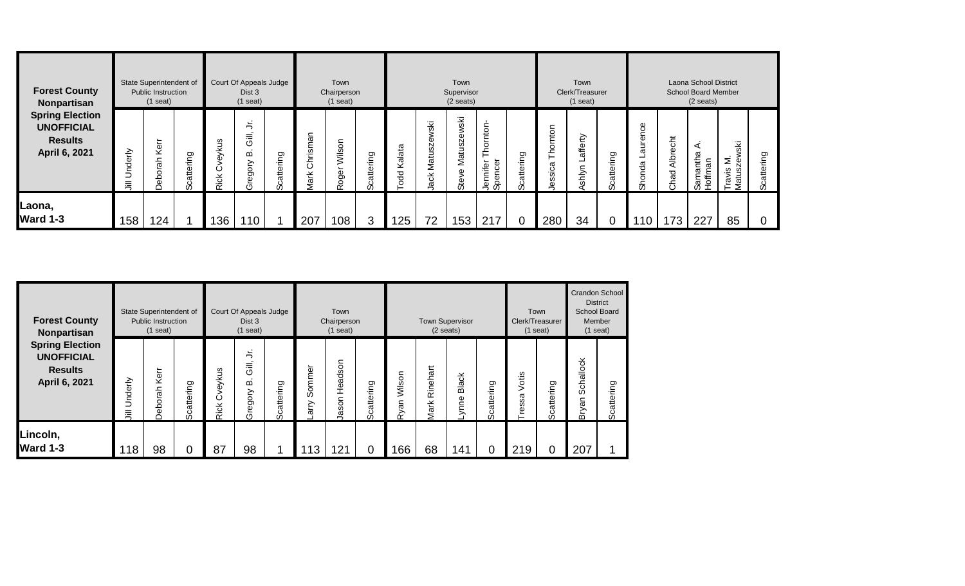| <b>Forest County</b><br>Nonpartisan                                            |                                             | State Superintendent of<br>Public Instruction<br>$(1$ seat) |               |                                | Court Of Appeals Judge<br>Dist 3<br>$(1$ seat) |               |                          | Town<br>Chairperson<br>$(1$ seat) |                    |                  |                                | Town<br>Supervisor<br>$(2 \text{ seats})$ |                                |                    |                    | Town<br>Clerk/Treasurer<br>$(1$ seat) |               |                                     |                  | Laona School District<br><b>School Board Member</b><br>$(2 \text{ seats})$ |                                       |          |
|--------------------------------------------------------------------------------|---------------------------------------------|-------------------------------------------------------------|---------------|--------------------------------|------------------------------------------------|---------------|--------------------------|-----------------------------------|--------------------|------------------|--------------------------------|-------------------------------------------|--------------------------------|--------------------|--------------------|---------------------------------------|---------------|-------------------------------------|------------------|----------------------------------------------------------------------------|---------------------------------------|----------|
| <b>Spring Election</b><br><b>UNOFFICIAL</b><br><b>Results</b><br>April 6, 2021 | derly<br>$\overline{\phantom{0}}$<br>ミ<br>巪 | Kerr<br>rah<br>$\circ$<br>옮                                 | attering<br>Ō | 9<br>veyki<br>ပ<br><b>Rick</b> | $\frac{1}{2}$<br>ι⊪<br>≃<br>gory<br>စ္<br>৩    | attering<br>ഗ | an<br>rism<br>ర్<br>Mark | Wilson<br>oger<br>œ               | attering<br>ت<br>‰ | Kalata<br>뀽<br>O | wski<br><b>Matusze</b><br>Jack | wski<br>Matusze<br>Steve                  | hornton<br>Jennifer<br>Spencer | attering<br>$\sim$ | hornton<br>Jessica | ₹<br>affe<br>shlyn                    | attering<br>Ō | ပ္ပ<br>5<br>$\sigma$<br>por<br>Shon | Albrecht<br>Chad | ⋖<br>σ<br>눧<br>Гã<br>৳<br>$\omega$                                         | ΜS<br>Σ<br>Φ<br>avis<br>w<br>atu<br>⋝ | ing<br>ഗ |
| Laona,<br>Ward 1-3                                                             | 158                                         | 124                                                         |               | 136                            | 10                                             |               | 207                      | 108                               | 3                  | 125              | 72                             | 153 <sub>1</sub>                          | 217                            | 0                  | 280                | 34                                    |               | $\overline{10}$                     | 73               | 227                                                                        | 85                                    |          |

| <b>Forest County</b><br>Nonpartisan                                            |              | State Superintendent of<br><b>Public Instruction</b><br>$(1$ seat) |                |                            | Court Of Appeals Judge<br>Dist 3<br>$(1$ seat) |                |                      | Town<br>Chairperson<br>$(1$ seat)                   |                    |                   | $(2 \text{ seats})$ | <b>Town Supervisor</b> |            |                          | Town<br>Clerk/Treasurer<br>$(1$ seat) | Crandon School<br><b>District</b><br><b>School Board</b><br>Member<br>$(1$ seat) |            |
|--------------------------------------------------------------------------------|--------------|--------------------------------------------------------------------|----------------|----------------------------|------------------------------------------------|----------------|----------------------|-----------------------------------------------------|--------------------|-------------------|---------------------|------------------------|------------|--------------------------|---------------------------------------|----------------------------------------------------------------------------------|------------|
| <b>Spring Election</b><br><b>UNOFFICIAL</b><br><b>Results</b><br>April 6, 2021 | Underly<br>言 | Kerr<br>orah<br>န္ပ<br>≏                                           | cattering<br>Ō | veykus<br>ن<br><b>Rick</b> | 与<br><br>、「<br>∞<br>Gregory                    | cattering<br>Ō | ے<br>Somme<br>ξ<br>ω | Son<br>ë,<br>ق<br>±<br>$\overline{5}$<br><b>Sel</b> | attering<br>ပ<br>ഗ | Wilson<br>Πg<br>š | Rinehart<br>Mark    | <b>Black</b><br>-ynne  | Scattering | otis<br>π<br>w<br>w<br>Φ | attering<br>ပ<br>ഗ                    | Schallock<br>ΘË<br>Ä                                                             | Scattering |
| Lincoln,<br><b>Ward 1-3</b>                                                    | 118          | 98                                                                 | $\overline{0}$ | 87                         | 98                                             |                | 113                  | 121                                                 | 0                  | 166               | 68                  | 141                    | 0          | 219                      | 0                                     | 207                                                                              |            |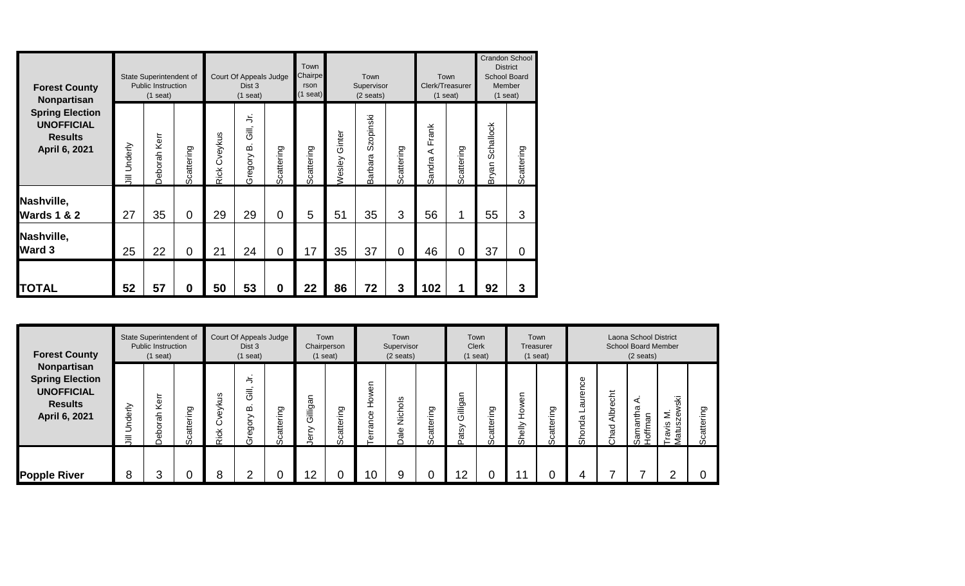| <b>Forest County</b><br>Nonpartisan                                            |              | State Superintendent of<br><b>Public Instruction</b><br>$(1$ seat) |                |              | Court Of Appeals Judge<br>Dist 3<br>$(1$ seat) |            | Town<br>Chairpe<br>rson<br>(1)<br>seat) |                  | Town<br>Supervisor<br>$(2 \text{ seats})$ |                |                      | Town<br>Clerk/Treasurer<br>$(1$ seat) | Crandon School<br><b>District</b><br>Member | School Board<br>$(1$ seat) |
|--------------------------------------------------------------------------------|--------------|--------------------------------------------------------------------|----------------|--------------|------------------------------------------------|------------|-----------------------------------------|------------------|-------------------------------------------|----------------|----------------------|---------------------------------------|---------------------------------------------|----------------------------|
| <b>Spring Election</b><br><b>UNOFFICIAL</b><br><b>Results</b><br>April 6, 2021 | Jill Underly | Deborah Kerr                                                       | Scattering     | Rick Cveykus | ミ<br>、<br>「こ<br>മ<br>Gregory                   | Scattering | Scattering                              | Ginter<br>Wesley | Szopinski<br>Barbara                      | Scattering     | Frank<br>⋖<br>Sandra | Scattering                            | <b>Schallock</b><br>Bryan                   | Scattering                 |
| Nashville,<br><b>Wards 1 &amp; 2</b>                                           | 27           | 35                                                                 | $\overline{0}$ | 29           | 29                                             | $\Omega$   | 5                                       | 51               | 35                                        | 3              | 56                   |                                       | 55                                          | 3                          |
| Nashville,<br>Ward 3                                                           | 25           | 22                                                                 | $\overline{0}$ | 21           | 24                                             | $\Omega$   | 17                                      | 35               | 37                                        | $\overline{0}$ | 46                   | 0                                     | 37                                          | 0                          |
| <b>TOTAL</b>                                                                   | 52           | 57                                                                 | 0              | 50           | 53                                             | 0          | 22                                      | 86               | 72                                        | 3              | 102                  |                                       | 92                                          | 3                          |

| <b>Forest County</b>                                                                          |            | State Superintendent of<br><b>Public Instruction</b><br>$(1$ seat) |          |                                      | Court Of Appeals Judge<br>Dist 3<br>$(1$ seat) |                    |                 | Town<br>Chairperson<br>$(1$ seat) |                                     | Town<br>Supervisor<br>$(2 \text{ seats})$ |                               |                            | Town<br><b>Clerk</b><br>$(1$ seat) |                                              | Town<br>Treasurer<br>$(1$ seat) |                            |                          | Laona School District<br><b>School Board Member</b><br>$(2 \text{ seats})$ |                        |                           |
|-----------------------------------------------------------------------------------------------|------------|--------------------------------------------------------------------|----------|--------------------------------------|------------------------------------------------|--------------------|-----------------|-----------------------------------|-------------------------------------|-------------------------------------------|-------------------------------|----------------------------|------------------------------------|----------------------------------------------|---------------------------------|----------------------------|--------------------------|----------------------------------------------------------------------------|------------------------|---------------------------|
| Nonpartisan<br><b>Spring Election</b><br><b>UNOFFICIAL</b><br><b>Results</b><br>April 6, 2021 | derly<br>亖 | ະ<br>٧e<br>유<br>느<br>$\circ$<br>ء<br>Φ                             | attering | eykus<br>$\tilde{\vec{c}}$<br>$\sim$ | 与<br>$\sim$<br>高<br>≃<br>Aobe                  | attering<br>ပ<br>ഗ | Gilligan        | attering<br>ပ<br>$\sim$           | eυ<br>Š<br>Φ<br>ĕ<br>$\bar{\sigma}$ | Nichols<br>$\frac{e}{a}$                  | ttering<br>$\sigma$<br>ల<br>ഗ | Gilligan<br>Λs<br>$\sigma$ | attering<br>ပ<br>$\sim$            | 5<br>Nowl<br>$\stackrel{\text{d}}{=}$<br>န္တ | attering<br>ల<br>$\omega$       | urence<br>σ<br>onda<br>န္တ | 흉<br><b>Albre</b><br>had | ⋖<br>Samantha<br>loffman                                                   | ΚŚ<br>⋝<br>Φ<br>ē<br>π | attering<br>ပ<br>$\omega$ |
| <b>Popple River</b>                                                                           | 8          | ົ                                                                  |          | 8                                    | ⌒                                              | U                  | 12 <sub>2</sub> | $\overline{0}$                    | 10                                  | 9                                         |                               | 12                         | $\overline{0}$                     | 11                                           | $\overline{0}$                  | 4                          |                          |                                                                            | ⌒                      |                           |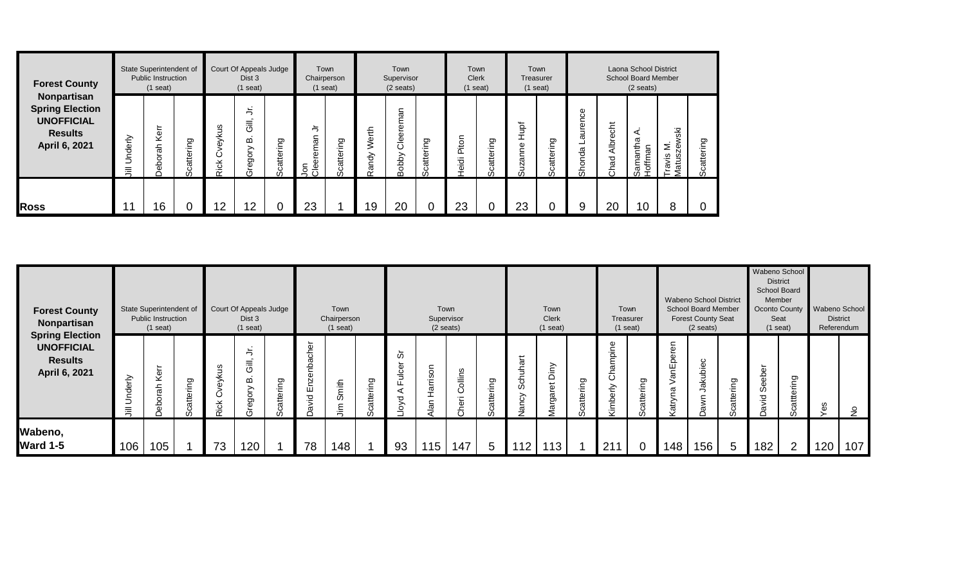| <b>Forest County</b><br>Nonpartisan<br><b>Spring Election</b><br><b>UNOFFICIAL</b><br><b>Results</b><br>April 6, 2021 | State Superintendent of<br><b>Public Instruction</b><br>$(1$ seat) |                     |                    |                           | Court Of Appeals Judge<br>Dist 3<br>$(1$ seat) |                         |                                              | Town<br>Chairperson<br>$(1$ seat) |                         | Town<br>Supervisor<br>$(2 \text{ seats})$ |                    |                   | Town<br><b>Clerk</b><br>$(1$ seat) |                            | Town<br>Treasurer<br>$(1$ seat) |                                     |                 | Laona School District<br><b>School Board Member</b><br>$(2 \text{ seats})$ |                                           |                                                      |  |
|-----------------------------------------------------------------------------------------------------------------------|--------------------------------------------------------------------|---------------------|--------------------|---------------------------|------------------------------------------------|-------------------------|----------------------------------------------|-----------------------------------|-------------------------|-------------------------------------------|--------------------|-------------------|------------------------------------|----------------------------|---------------------------------|-------------------------------------|-----------------|----------------------------------------------------------------------------|-------------------------------------------|------------------------------------------------------|--|
|                                                                                                                       | Jnderly<br>≡                                                       | Kerr<br>eborah<br>≏ | attering<br>ပ<br>ω | S<br>eyku<br>O<br>쏭<br>ಸ್ | $\frac{1}{2}$<br>$\sim$<br>高<br>മ<br>egory     | ρņ<br>atterin<br>ٽ<br>Ō | 与<br>an<br>erema<br>$\tilde{5}$<br><u>ම්</u> | attering<br>ٽ<br>ഗ                | Werth<br>andy<br>$\sim$ | ΘÊ<br>Ë<br>Φ<br>စ်<br>ප්<br>Bobby         | attering<br>ٽ<br>Ō | ⊂<br>Pito<br>eidi | ρ<br>۰È<br>atte<br>ပ<br>ഗ          | Нuрf<br>ၿ<br>ann<br>っ<br>ഗ | ρ<br>atterin<br>ٽ<br>ഗ          | Φ<br><b>Gnc</b><br>ᡕᢐ<br>onda<br>န် | Albrecht<br>had | ⋖<br>amantha<br><b>loffman</b><br>Ő                                        | κśι<br>Σ<br><b>PS</b><br>Travis<br>Matus: | Ō<br>$\overline{\phantom{0}}$<br>۰Ĕ<br>£<br>$\omega$ |  |
| <b>Ross</b>                                                                                                           |                                                                    | 16                  |                    | $\overline{2}$            | $\overline{2}$                                 |                         | 23                                           |                                   | 19                      | 20                                        |                    | 23                |                                    | 23                         |                                 | 9                                   | 20              | 10                                                                         | 8                                         |                                                      |  |

| <b>Forest County</b><br>Nonpartisan<br><b>Spring Election</b><br><b>UNOFFICIAL</b><br><b>Results</b><br>April 6, 2021 | State Superintendent of<br>Public Instruction<br>$(1$ seat) |              |                         |                      | Court Of Appeals Judge<br>Dist 3<br>$(1$ seat)                                               |                |                                                                                               | Town<br>Chairperson<br>$(1$ seat) |           | Town<br>Supervisor<br>(2 seats)                           |                                            |                   | Town<br><b>Clerk</b><br>$(1$ seat) |                                                   |                              | Town<br>Treasurer<br>$(1$ seat) |                                               | <b>Wabeno School District</b><br><b>School Board Member</b><br><b>Forest County Seat</b><br>$(2 \text{ seats})$ |                                     | Wabeno School<br><b>District</b><br>School Board<br>Member<br>Oconto County<br>Seat<br>(1 seat) |                           | Wabeno School<br><b>District</b><br>Referendum                   |                        |     |         |
|-----------------------------------------------------------------------------------------------------------------------|-------------------------------------------------------------|--------------|-------------------------|----------------------|----------------------------------------------------------------------------------------------|----------------|-----------------------------------------------------------------------------------------------|-----------------------------------|-----------|-----------------------------------------------------------|--------------------------------------------|-------------------|------------------------------------|---------------------------------------------------|------------------------------|---------------------------------|-----------------------------------------------|-----------------------------------------------------------------------------------------------------------------|-------------------------------------|-------------------------------------------------------------------------------------------------|---------------------------|------------------------------------------------------------------|------------------------|-----|---------|
|                                                                                                                       | ⋋<br>$\overline{5}$<br>目                                    | Kerr<br>orah | တ<br>attering<br>$\sim$ | ykus<br>Φ<br>Ő<br>ξŘ | ≒<br>$\overline{\overline{\overline{G}}}$<br>. .<br>മ<br>$\rightarrow$<br>egor<br>$\epsilon$ | င္ဘာ<br>€<br>₽ | ৯<br>$\overline{\phantom{0}}$<br>৳<br>π<br>은<br>$\subset$<br>ш<br>$\mathbf \sigma$<br>゙゙<br>ഁ | Smith<br>Ξ.                       | ring<br>₽ | $\overline{\phantom{a}}$<br>w<br>Ф<br>읔<br>正<br>⋖<br>loyd | $\overline{5}$<br>Harris<br>$\overline{a}$ | Collins<br>≔<br>Φ | ring<br>atte                       | $\tilde{\mathbf{a}}$<br>Ê<br>동<br>w<br>$\Im$<br>σ | Diny<br>garet<br>$\sim$<br>ā | ρņ<br>∕≣<br>atte                | ampine<br>$\overline{\phantom{0}}$<br>imberly | attering<br>ပ<br>$\sim$                                                                                         | eren<br>anEp<br>$\geq$<br>6<br>atry | akubiec<br>っ<br>awn                                                                             | attering<br>ပ<br>$\omega$ | $\overline{\phantom{0}}$<br>ebe<br>Φ<br>w<br>id<br>S<br>$\sigma$ | ing<br>tte<br>$\sigma$ | 65  | $\circ$ |
| Wabeno,<br><b>Ward 1-5</b>                                                                                            | 106                                                         | 105          |                         | 73                   | 120                                                                                          |                | 78                                                                                            | 148                               |           | 93                                                        | 15                                         | 147               | 5                                  | 112                                               | 13                           |                                 | 211                                           | $\overline{0}$                                                                                                  | 148                                 | 156                                                                                             | 5                         | 182                                                              | ⌒                      | 120 | 107     |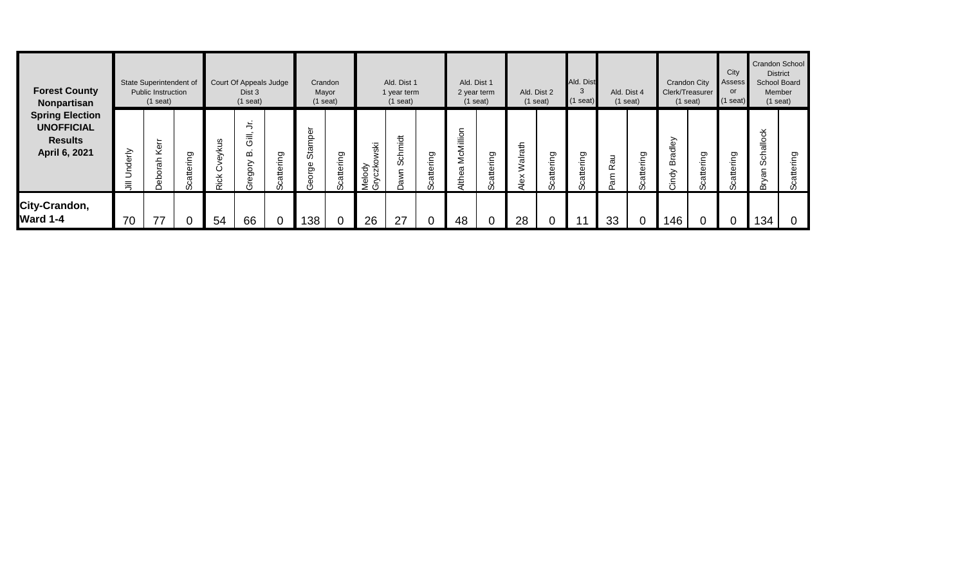| <b>Forest County</b><br>Nonpartisan<br><b>Spring Election</b><br><b>UNOFFICIAL</b><br><b>Results</b><br>April 6, 2021 | State Superintendent of<br><b>Public Instruction</b><br>$(1$ seat) |              |               |                                          | Court Of Appeals Judge<br>Dist 3<br>$(1$ seat)    |                  | Crandon<br>Mayor<br>$(1$ seat) |                    | Ald. Dist 1<br>1 year term<br>$(1$ seat)           |                   |               | Ald. Dist 1<br>2 year term<br>$(1$ seat) |               | Ald. Dist 2<br>$(1$ seat)       |                    | Ald. Dist<br>$(1$ seat) | Ald. Dist 4<br>$(1$ seat) |               | <b>Crandon City</b><br>Clerk/Treasurer<br>$(1$ seat) |                            | City<br>Assess<br><b>or</b><br>$(1$ seat) | Crandon School<br><b>District</b><br><b>School Board</b><br>Member<br>$(1$ seat) |               |
|-----------------------------------------------------------------------------------------------------------------------|--------------------------------------------------------------------|--------------|---------------|------------------------------------------|---------------------------------------------------|------------------|--------------------------------|--------------------|----------------------------------------------------|-------------------|---------------|------------------------------------------|---------------|---------------------------------|--------------------|-------------------------|---------------------------|---------------|------------------------------------------------------|----------------------------|-------------------------------------------|----------------------------------------------------------------------------------|---------------|
|                                                                                                                       | Underly<br>巪                                                       | ۵Ë<br>⊻<br>玉 | attering<br>ഗ | 5c<br>⊻<br>⋋<br>۵D<br>¥<br><u>ب</u><br>~ | $\frac{1}{2}$<br><br>$=$<br>ᅙ<br>≃<br>≧<br>8<br>Ф | ing<br>atte<br>ഗ | Φ<br>으<br>Sta<br>Φ<br>δã       | attering<br>ت<br>% | Ψŝ<br>⋋<br>くろく<br>elod <sub>i</sub><br>ن<br>≧<br>Σ | Schmidt<br>c<br>Μ | attering<br>ഗ | McMillion<br>6<br>lthe                   | ring<br>atter | Walrath<br>$\times$<br>$\omega$ | attering<br>ٽ<br>ഗ | iring<br>£              | Πe<br>œ                   | attering<br>ഗ | radley<br>m<br>indy                                  | ing<br>e+<br>$\sigma$<br>ഗ | attering<br>ഗ                             | 꽁<br>$\frac{5}{5}$<br>Šchë<br>an<br>മ                                            | iring<br>atte |
| City-Crandon,<br>Ward 1-4                                                                                             | 70                                                                 | 77           | 0             | 54                                       | 66                                                |                  | 138                            | 0                  | 26                                                 | 27                |               | 48                                       |               | 28                              |                    | $-11$                   | 33                        | ⌒             | 146                                                  |                            |                                           | 134                                                                              |               |